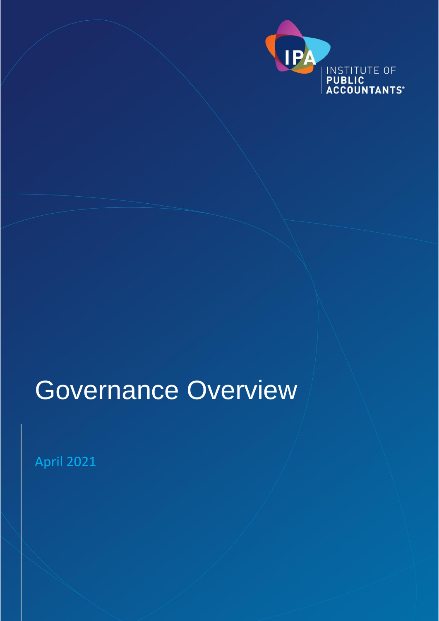

# Governance Overview

April 2021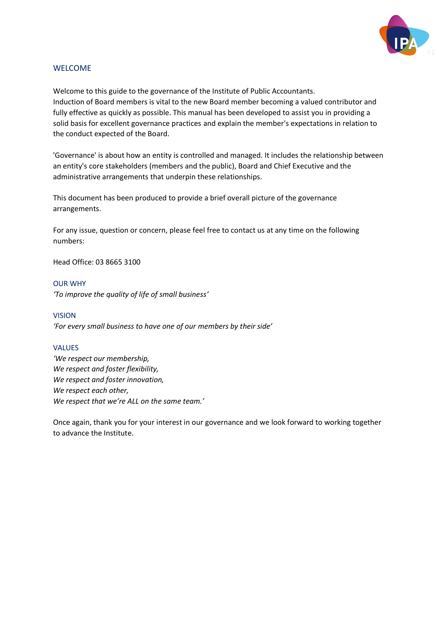

#### WELCOME

Welcome to this guide to the governance of the Institute of Public Accountants. Induction of Board members is vital to the new Board member becoming a valued contributor and fully effective as quickly as possible. This manual has been developed to assist you in providing a solid basis for excellent governance practices and explain the member's expectations in relation to the conduct expected of the Board.

'Governance' is about how an entity is controlled and managed. It includes the relationship between an entity's core stakeholders (members and the public), Board and Chief Executive and the administrative arrangements that underpin these relationships.

This document has been produced to provide a brief overall picture of the governance arrangements.

For any issue, question or concern, please feel free to contact us at any time on the following numbers:

Head Office: 03 8665 3100

#### OUR WHY

*'To improve the quality of life of small business'*

#### VISION

*'For every small business to have one of our members by their side'*

#### VALUES

*'We respect our membership, We respect and foster flexibility, We respect and foster innovation, We respect each other, We respect that we're ALL on the same team.'*

Once again, thank you for your interest in our governance and we look forward to working together to advance the Institute.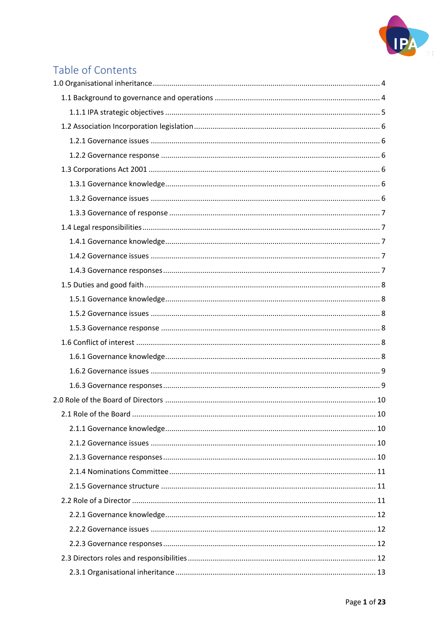

# Table of Contents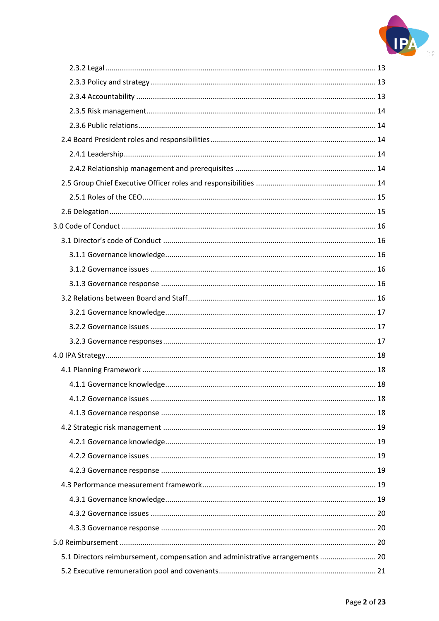

| 5.1 Directors reimbursement, compensation and administrative arrangements  20 |  |
|-------------------------------------------------------------------------------|--|
|                                                                               |  |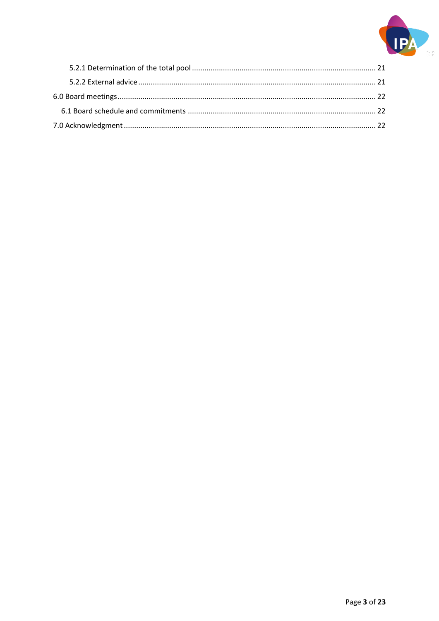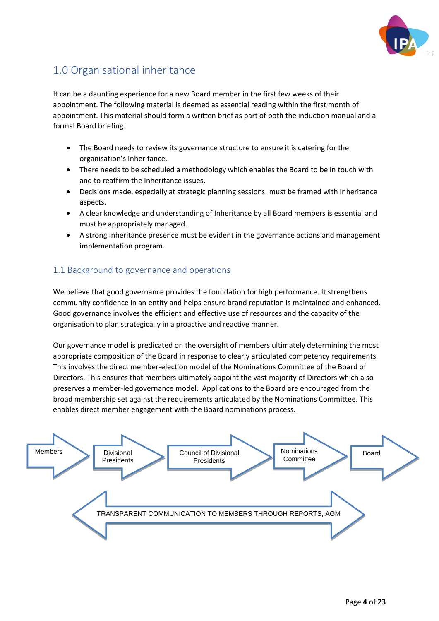

# <span id="page-5-0"></span>1.0 Organisational inheritance

It can be a daunting experience for a new Board member in the first few weeks of their appointment. The following material is deemed as essential reading within the first month of appointment. This material should form a written brief as part of both the induction manual and a formal Board briefing.

- The Board needs to review its governance structure to ensure it is catering for the organisation's Inheritance.
- There needs to be scheduled a methodology which enables the Board to be in touch with and to reaffirm the Inheritance issues.
- Decisions made, especially at strategic planning sessions, must be framed with Inheritance aspects.
- A clear knowledge and understanding of Inheritance by all Board members is essential and must be appropriately managed.
- A strong Inheritance presence must be evident in the governance actions and management implementation program.

# <span id="page-5-1"></span>1.1 Background to governance and operations

We believe that good governance provides the foundation for high performance. It strengthens community confidence in an entity and helps ensure brand reputation is maintained and enhanced. Good governance involves the efficient and effective use of resources and the capacity of the organisation to plan strategically in a proactive and reactive manner.

Our governance model is predicated on the oversight of members ultimately determining the most appropriate composition of the Board in response to clearly articulated competency requirements. This involves the direct member-election model of the Nominations Committee of the Board of Directors. This ensures that members ultimately appoint the vast majority of Directors which also preserves a member-led governance model. Applications to the Board are encouraged from the broad membership set against the requirements articulated by the Nominations Committee. This enables direct member engagement with the Board nominations process.

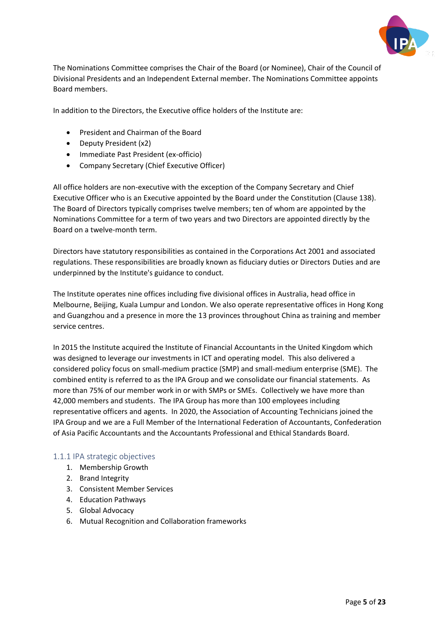

The Nominations Committee comprises the Chair of the Board (or Nominee), Chair of the Council of Divisional Presidents and an Independent External member. The Nominations Committee appoints Board members.

In addition to the Directors, the Executive office holders of the Institute are:

- President and Chairman of the Board
- Deputy President (x2)
- Immediate Past President (ex-officio)
- Company Secretary (Chief Executive Officer)

All office holders are non-executive with the exception of the Company Secretary and Chief Executive Officer who is an Executive appointed by the Board under the Constitution (Clause 138). The Board of Directors typically comprises twelve members; ten of whom are appointed by the Nominations Committee for a term of two years and two Directors are appointed directly by the Board on a twelve-month term.

Directors have statutory responsibilities as contained in the Corporations Act 2001 and associated regulations. These responsibilities are broadly known as fiduciary duties or Directors Duties and are underpinned by the Institute's guidance to conduct.

The Institute operates nine offices including five divisional offices in Australia, head office in Melbourne, Beijing, Kuala Lumpur and London. We also operate representative offices in Hong Kong and Guangzhou and a presence in more the 13 provinces throughout China as training and member service centres.

In 2015 the Institute acquired the Institute of Financial Accountants in the United Kingdom which was designed to leverage our investments in ICT and operating model. This also delivered a considered policy focus on small-medium practice (SMP) and small-medium enterprise (SME). The combined entity is referred to as the IPA Group and we consolidate our financial statements. As more than 75% of our member work in or with SMPs or SMEs. Collectively we have more than 42,000 members and students. The IPA Group has more than 100 employees including representative officers and agents. In 2020, the Association of Accounting Technicians joined the IPA Group and we are a Full Member of the International Federation of Accountants, Confederation of Asia Pacific Accountants and the Accountants Professional and Ethical Standards Board.

#### <span id="page-6-0"></span>1.1.1 IPA strategic objectives

- 1. Membership Growth
- 2. Brand Integrity
- 3. Consistent Member Services
- 4. Education Pathways
- 5. Global Advocacy
- 6. Mutual Recognition and Collaboration frameworks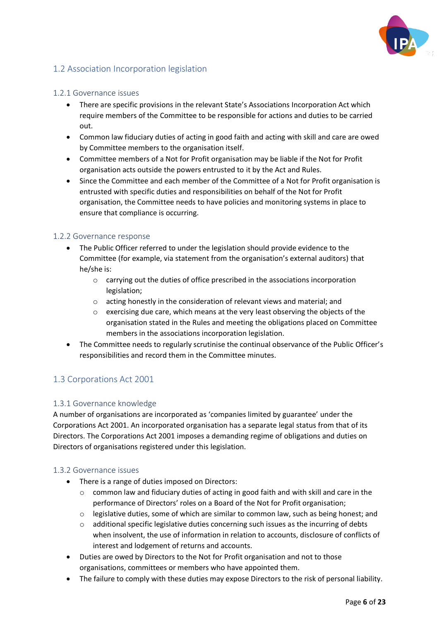

# <span id="page-7-0"></span>1.2 Association Incorporation legislation

#### <span id="page-7-1"></span>1.2.1 Governance issues

- There are specific provisions in the relevant State's Associations Incorporation Act which require members of the Committee to be responsible for actions and duties to be carried out.
- Common law fiduciary duties of acting in good faith and acting with skill and care are owed by Committee members to the organisation itself.
- Committee members of a Not for Profit organisation may be liable if the Not for Profit organisation acts outside the powers entrusted to it by the Act and Rules.
- Since the Committee and each member of the Committee of a Not for Profit organisation is entrusted with specific duties and responsibilities on behalf of the Not for Profit organisation, the Committee needs to have policies and monitoring systems in place to ensure that compliance is occurring.

## <span id="page-7-2"></span>1.2.2 Governance response

- The Public Officer referred to under the legislation should provide evidence to the Committee (for example, via statement from the organisation's external auditors) that he/she is:
	- o carrying out the duties of office prescribed in the associations incorporation legislation;
	- o acting honestly in the consideration of relevant views and material; and
	- o exercising due care, which means at the very least observing the objects of the organisation stated in the Rules and meeting the obligations placed on Committee members in the associations incorporation legislation.
- The Committee needs to regularly scrutinise the continual observance of the Public Officer's responsibilities and record them in the Committee minutes.

# <span id="page-7-3"></span>1.3 Corporations Act 2001

# <span id="page-7-4"></span>1.3.1 Governance knowledge

A number of organisations are incorporated as 'companies limited by guarantee' under the Corporations Act 2001. An incorporated organisation has a separate legal status from that of its Directors. The Corporations Act 2001 imposes a demanding regime of obligations and duties on Directors of organisations registered under this legislation.

#### <span id="page-7-5"></span>1.3.2 Governance issues

- There is a range of duties imposed on Directors:
	- o common law and fiduciary duties of acting in good faith and with skill and care in the performance of Directors' roles on a Board of the Not for Profit organisation;
	- $\circ$  legislative duties, some of which are similar to common law, such as being honest; and
	- o additional specific legislative duties concerning such issues as the incurring of debts when insolvent, the use of information in relation to accounts, disclosure of conflicts of interest and lodgement of returns and accounts.
- Duties are owed by Directors to the Not for Profit organisation and not to those organisations, committees or members who have appointed them.
- The failure to comply with these duties may expose Directors to the risk of personal liability.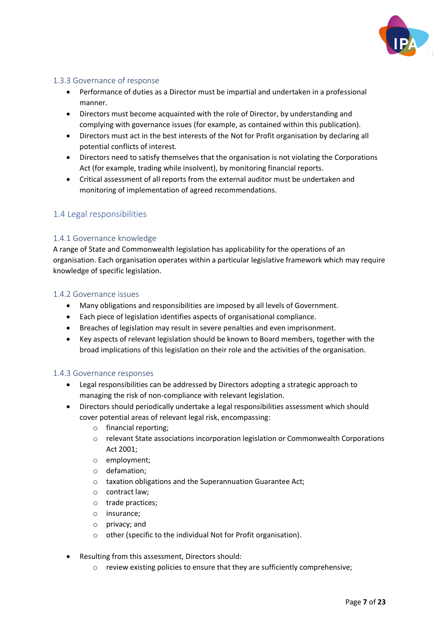

# <span id="page-8-0"></span>1.3.3 Governance of response

- Performance of duties as a Director must be impartial and undertaken in a professional manner.
- Directors must become acquainted with the role of Director, by understanding and complying with governance issues (for example, as contained within this publication).
- Directors must act in the best interests of the Not for Profit organisation by declaring all potential conflicts of interest.
- Directors need to satisfy themselves that the organisation is not violating the Corporations Act (for example, trading while insolvent), by monitoring financial reports.
- Critical assessment of all reports from the external auditor must be undertaken and monitoring of implementation of agreed recommendations.

# <span id="page-8-1"></span>1.4 Legal responsibilities

## <span id="page-8-2"></span>1.4.1 Governance knowledge

A range of State and Commonwealth legislation has applicability for the operations of an organisation. Each organisation operates within a particular legislative framework which may require knowledge of specific legislation.

#### <span id="page-8-3"></span>1.4.2 Governance issues

- Many obligations and responsibilities are imposed by all levels of Government.
- Each piece of legislation identifies aspects of organisational compliance.
- Breaches of legislation may result in severe penalties and even imprisonment.
- Key aspects of relevant legislation should be known to Board members, together with the broad implications of this legislation on their role and the activities of the organisation.

#### <span id="page-8-4"></span>1.4.3 Governance responses

- Legal responsibilities can be addressed by Directors adopting a strategic approach to managing the risk of non-compliance with relevant legislation.
- Directors should periodically undertake a legal responsibilities assessment which should cover potential areas of relevant legal risk, encompassing:
	- o financial reporting;
	- o relevant State associations incorporation legislation or Commonwealth Corporations Act 2001;
	- o employment;
	- o defamation;
	- o taxation obligations and the Superannuation Guarantee Act;
	- o contract law;
	- o trade practices;
	- o insurance;
	- o privacy; and
	- o other (specific to the individual Not for Profit organisation).
- Resulting from this assessment, Directors should:
	- o review existing policies to ensure that they are sufficiently comprehensive;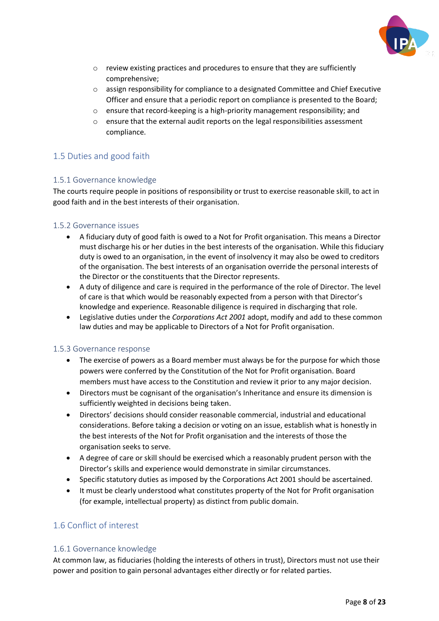

- o review existing practices and procedures to ensure that they are sufficiently comprehensive;
- o assign responsibility for compliance to a designated Committee and Chief Executive Officer and ensure that a periodic report on compliance is presented to the Board;
- o ensure that record-keeping is a high-priority management responsibility; and
- $\circ$  ensure that the external audit reports on the legal responsibilities assessment compliance.

# <span id="page-9-0"></span>1.5 Duties and good faith

## <span id="page-9-1"></span>1.5.1 Governance knowledge

The courts require people in positions of responsibility or trust to exercise reasonable skill, to act in good faith and in the best interests of their organisation.

## <span id="page-9-2"></span>1.5.2 Governance issues

- A fiduciary duty of good faith is owed to a Not for Profit organisation. This means a Director must discharge his or her duties in the best interests of the organisation. While this fiduciary duty is owed to an organisation, in the event of insolvency it may also be owed to creditors of the organisation. The best interests of an organisation override the personal interests of the Director or the constituents that the Director represents.
- A duty of diligence and care is required in the performance of the role of Director. The level of care is that which would be reasonably expected from a person with that Director's knowledge and experience. Reasonable diligence is required in discharging that role.
- Legislative duties under the *Corporations Act 2001* adopt, modify and add to these common law duties and may be applicable to Directors of a Not for Profit organisation.

#### <span id="page-9-3"></span>1.5.3 Governance response

- The exercise of powers as a Board member must always be for the purpose for which those powers were conferred by the Constitution of the Not for Profit organisation. Board members must have access to the Constitution and review it prior to any major decision.
- Directors must be cognisant of the organisation's Inheritance and ensure its dimension is sufficiently weighted in decisions being taken.
- Directors' decisions should consider reasonable commercial, industrial and educational considerations. Before taking a decision or voting on an issue, establish what is honestly in the best interests of the Not for Profit organisation and the interests of those the organisation seeks to serve.
- A degree of care or skill should be exercised which a reasonably prudent person with the Director's skills and experience would demonstrate in similar circumstances.
- Specific statutory duties as imposed by the Corporations Act 2001 should be ascertained.
- It must be clearly understood what constitutes property of the Not for Profit organisation (for example, intellectual property) as distinct from public domain.

# <span id="page-9-4"></span>1.6 Conflict of interest

# <span id="page-9-5"></span>1.6.1 Governance knowledge

At common law, as fiduciaries (holding the interests of others in trust), Directors must not use their power and position to gain personal advantages either directly or for related parties.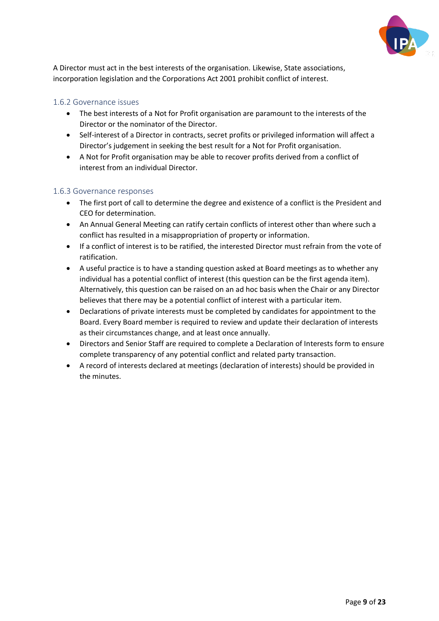

A Director must act in the best interests of the organisation. Likewise, State associations, incorporation legislation and the Corporations Act 2001 prohibit conflict of interest.

#### <span id="page-10-0"></span>1.6.2 Governance issues

- The best interests of a Not for Profit organisation are paramount to the interests of the Director or the nominator of the Director.
- Self-interest of a Director in contracts, secret profits or privileged information will affect a Director's judgement in seeking the best result for a Not for Profit organisation.
- A Not for Profit organisation may be able to recover profits derived from a conflict of interest from an individual Director.

## <span id="page-10-1"></span>1.6.3 Governance responses

- The first port of call to determine the degree and existence of a conflict is the President and CEO for determination.
- An Annual General Meeting can ratify certain conflicts of interest other than where such a conflict has resulted in a misappropriation of property or information.
- If a conflict of interest is to be ratified, the interested Director must refrain from the vote of ratification.
- A useful practice is to have a standing question asked at Board meetings as to whether any individual has a potential conflict of interest (this question can be the first agenda item). Alternatively, this question can be raised on an ad hoc basis when the Chair or any Director believes that there may be a potential conflict of interest with a particular item.
- Declarations of private interests must be completed by candidates for appointment to the Board. Every Board member is required to review and update their declaration of interests as their circumstances change, and at least once annually.
- Directors and Senior Staff are required to complete a Declaration of Interests form to ensure complete transparency of any potential conflict and related party transaction.
- A record of interests declared at meetings (declaration of interests) should be provided in the minutes.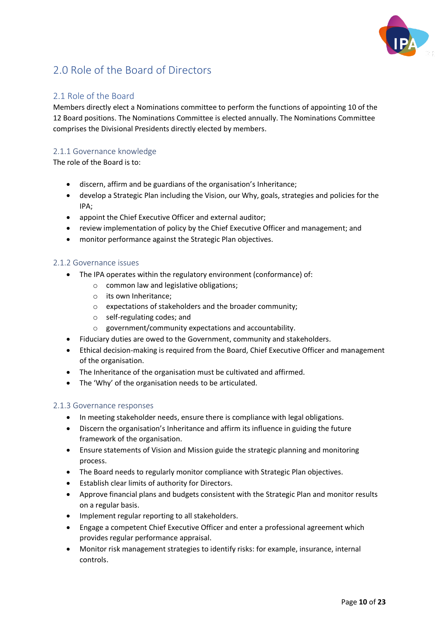

# <span id="page-11-0"></span>2.0 Role of the Board of Directors

# <span id="page-11-1"></span>2.1 Role of the Board

Members directly elect a Nominations committee to perform the functions of appointing 10 of the 12 Board positions. The Nominations Committee is elected annually. The Nominations Committee comprises the Divisional Presidents directly elected by members.

# <span id="page-11-2"></span>2.1.1 Governance knowledge

The role of the Board is to:

- discern, affirm and be guardians of the organisation's Inheritance;
- develop a Strategic Plan including the Vision, our Why, goals, strategies and policies for the IPA;
- appoint the Chief Executive Officer and external auditor;
- review implementation of policy by the Chief Executive Officer and management; and
- monitor performance against the Strategic Plan objectives.

#### <span id="page-11-3"></span>2.1.2 Governance issues

- The IPA operates within the regulatory environment (conformance) of:
	- o common law and legislative obligations;
	- o its own Inheritance;
	- o expectations of stakeholders and the broader community;
	- o self-regulating codes; and
	- o government/community expectations and accountability.
- Fiduciary duties are owed to the Government, community and stakeholders.
- Ethical decision-making is required from the Board, Chief Executive Officer and management of the organisation.
- The Inheritance of the organisation must be cultivated and affirmed.
- The 'Why' of the organisation needs to be articulated.

#### <span id="page-11-4"></span>2.1.3 Governance responses

- In meeting stakeholder needs, ensure there is compliance with legal obligations.
- Discern the organisation's Inheritance and affirm its influence in guiding the future framework of the organisation.
- Ensure statements of Vision and Mission guide the strategic planning and monitoring process.
- The Board needs to regularly monitor compliance with Strategic Plan objectives.
- Establish clear limits of authority for Directors.
- Approve financial plans and budgets consistent with the Strategic Plan and monitor results on a regular basis.
- Implement regular reporting to all stakeholders.
- Engage a competent Chief Executive Officer and enter a professional agreement which provides regular performance appraisal.
- Monitor risk management strategies to identify risks: for example, insurance, internal controls.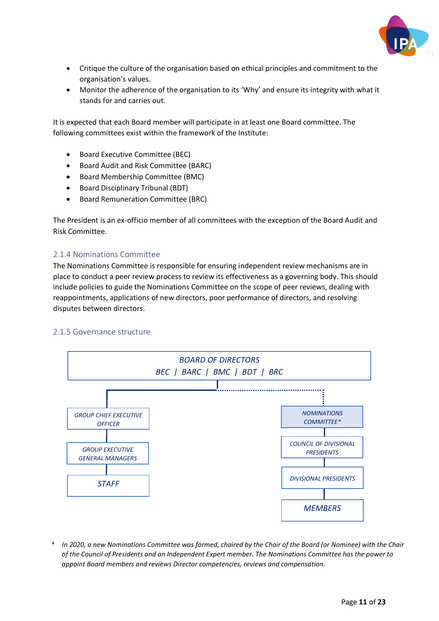

- Critique the culture of the organisation based on ethical principles and commitment to the organisation's values.
- Monitor the adherence of the organisation to its 'Why' and ensure its integrity with what it stands for and carries out.

It is expected that each Board member will participate in at least one Board committee. The following committees exist within the framework of the Institute:

- Board Executive Committee (BEC)
- Board Audit and Risk Committee (BARC)
- Board Membership Committee (BMC)
- Board Disciplinary Tribunal (BDT)
- Board Remuneration Committee (BRC)

The President is an ex-officio member of all committees with the exception of the Board Audit and Risk Committee.

#### <span id="page-12-0"></span>2.1.4 Nominations Committee

The Nominations Committee is responsible for ensuring independent review mechanisms are in place to conduct a peer review process to review its effectiveness as a governing body. This should include policies to guide the Nominations Committee on the scope of peer reviews, dealing with reappointments, applications of new directors, poor performance of directors, and resolving disputes between directors.

#### <span id="page-12-1"></span>2.1.5 Governance structure

<span id="page-12-2"></span>

*\* In 2020, a new Nominations Committee was formed, chaired by the Chair of the Board (or Nominee) with the Chair of the Council of Presidents and an Independent Expert member. The Nominations Committee has the power to appoint Board members and reviews Director competencies, reviews and compensation.*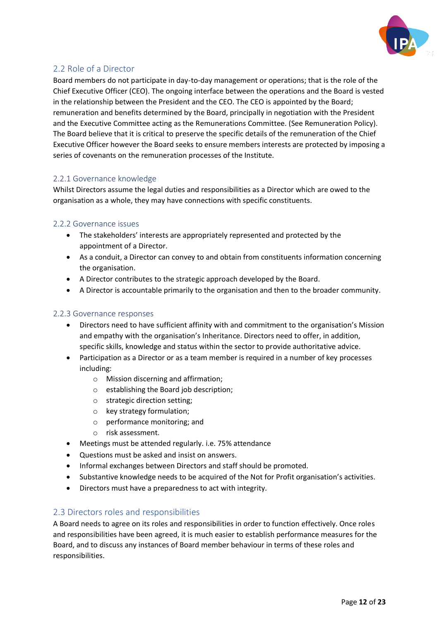

# 2.2 Role of a Director

Board members do not participate in day-to-day management or operations; that is the role of the Chief Executive Officer (CEO). The ongoing interface between the operations and the Board is vested in the relationship between the President and the CEO. The CEO is appointed by the Board; remuneration and benefits determined by the Board, principally in negotiation with the President and the Executive Committee acting as the Remunerations Committee. (See Remuneration Policy). The Board believe that it is critical to preserve the specific details of the remuneration of the Chief Executive Officer however the Board seeks to ensure members interests are protected by imposing a series of covenants on the remuneration processes of the Institute.

## <span id="page-13-0"></span>2.2.1 Governance knowledge

Whilst Directors assume the legal duties and responsibilities as a Director which are owed to the organisation as a whole, they may have connections with specific constituents.

#### <span id="page-13-1"></span>2.2.2 Governance issues

- The stakeholders' interests are appropriately represented and protected by the appointment of a Director.
- As a conduit, a Director can convey to and obtain from constituents information concerning the organisation.
- A Director contributes to the strategic approach developed by the Board.
- A Director is accountable primarily to the organisation and then to the broader community.

#### <span id="page-13-2"></span>2.2.3 Governance responses

- Directors need to have sufficient affinity with and commitment to the organisation's Mission and empathy with the organisation's Inheritance. Directors need to offer, in addition, specific skills, knowledge and status within the sector to provide authoritative advice.
- Participation as a Director or as a team member is required in a number of key processes including:
	- o Mission discerning and affirmation;
	- o establishing the Board job description;
	- o strategic direction setting;
	- o key strategy formulation;
	- o performance monitoring; and
	- o risk assessment.
- Meetings must be attended regularly. i.e. 75% attendance
- Questions must be asked and insist on answers.
- Informal exchanges between Directors and staff should be promoted.
- Substantive knowledge needs to be acquired of the Not for Profit organisation's activities.
- Directors must have a preparedness to act with integrity.

#### <span id="page-13-3"></span>2.3 Directors roles and responsibilities

A Board needs to agree on its roles and responsibilities in order to function effectively. Once roles and responsibilities have been agreed, it is much easier to establish performance measures for the Board, and to discuss any instances of Board member behaviour in terms of these roles and responsibilities.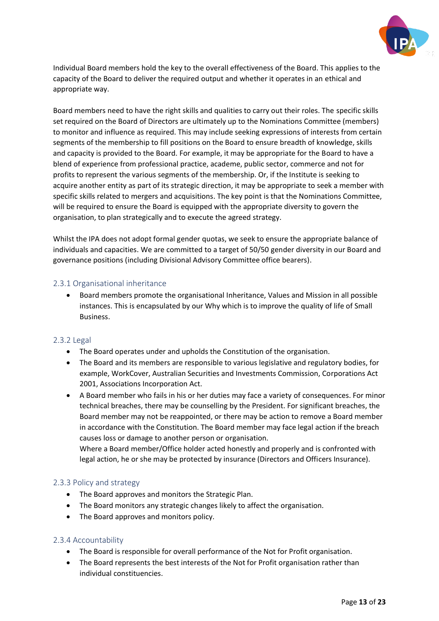

Individual Board members hold the key to the overall effectiveness of the Board. This applies to the capacity of the Board to deliver the required output and whether it operates in an ethical and appropriate way.

Board members need to have the right skills and qualities to carry out their roles. The specific skills set required on the Board of Directors are ultimately up to the Nominations Committee (members) to monitor and influence as required. This may include seeking expressions of interests from certain segments of the membership to fill positions on the Board to ensure breadth of knowledge, skills and capacity is provided to the Board. For example, it may be appropriate for the Board to have a blend of experience from professional practice, academe, public sector, commerce and not for profits to represent the various segments of the membership. Or, if the Institute is seeking to acquire another entity as part of its strategic direction, it may be appropriate to seek a member with specific skills related to mergers and acquisitions. The key point is that the Nominations Committee, will be required to ensure the Board is equipped with the appropriate diversity to govern the organisation, to plan strategically and to execute the agreed strategy.

Whilst the IPA does not adopt formal gender quotas, we seek to ensure the appropriate balance of individuals and capacities. We are committed to a target of 50/50 gender diversity in our Board and governance positions (including Divisional Advisory Committee office bearers).

#### <span id="page-14-0"></span>2.3.1 Organisational inheritance

• Board members promote the organisational Inheritance, Values and Mission in all possible instances. This is encapsulated by our Why which is to improve the quality of life of Small Business.

#### <span id="page-14-1"></span>2.3.2 Legal

- The Board operates under and upholds the Constitution of the organisation.
- The Board and its members are responsible to various legislative and regulatory bodies, for example, WorkCover, Australian Securities and Investments Commission, Corporations Act 2001, Associations Incorporation Act.
- A Board member who fails in his or her duties may face a variety of consequences. For minor technical breaches, there may be counselling by the President. For significant breaches, the Board member may not be reappointed, or there may be action to remove a Board member in accordance with the Constitution. The Board member may face legal action if the breach causes loss or damage to another person or organisation.

Where a Board member/Office holder acted honestly and properly and is confronted with legal action, he or she may be protected by insurance (Directors and Officers Insurance).

#### <span id="page-14-2"></span>2.3.3 Policy and strategy

- The Board approves and monitors the Strategic Plan.
- The Board monitors any strategic changes likely to affect the organisation.
- The Board approves and monitors policy.

#### <span id="page-14-3"></span>2.3.4 Accountability

- The Board is responsible for overall performance of the Not for Profit organisation.
- The Board represents the best interests of the Not for Profit organisation rather than individual constituencies.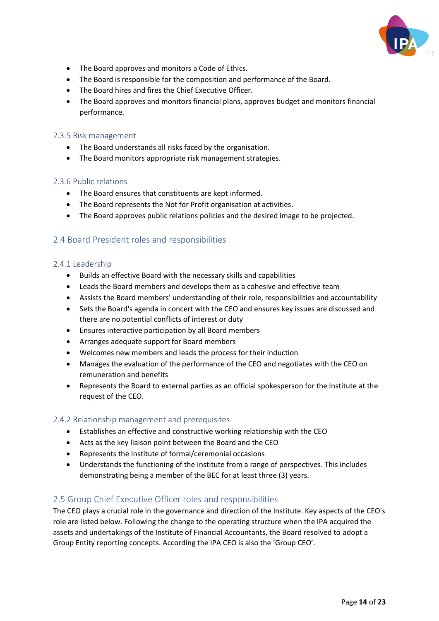

- The Board approves and monitors a Code of Ethics.
- The Board is responsible for the composition and performance of the Board.
- The Board hires and fires the Chief Executive Officer.
- The Board approves and monitors financial plans, approves budget and monitors financial performance.

#### <span id="page-15-0"></span>2.3.5 Risk management

- The Board understands all risks faced by the organisation.
- The Board monitors appropriate risk management strategies.

#### <span id="page-15-1"></span>2.3.6 Public relations

- The Board ensures that constituents are kept informed.
- The Board represents the Not for Profit organisation at activities.
- The Board approves public relations policies and the desired image to be projected.

## <span id="page-15-2"></span>2.4 Board President roles and responsibilities

#### <span id="page-15-3"></span>2.4.1 Leadership

- Builds an effective Board with the necessary skills and capabilities
- Leads the Board members and develops them as a cohesive and effective team
- Assists the Board members' understanding of their role, responsibilities and accountability
- Sets the Board's agenda in concert with the CEO and ensures key issues are discussed and there are no potential conflicts of interest or duty
- Ensures interactive participation by all Board members
- Arranges adequate support for Board members
- Welcomes new members and leads the process for their induction
- Manages the evaluation of the performance of the CEO and negotiates with the CEO on remuneration and benefits
- Represents the Board to external parties as an official spokesperson for the Institute at the request of the CEO.

#### <span id="page-15-4"></span>2.4.2 Relationship management and prerequisites

- Establishes an effective and constructive working relationship with the CEO
- Acts as the key liaison point between the Board and the CEO
- Represents the Institute of formal/ceremonial occasions
- Understands the functioning of the Institute from a range of perspectives. This includes demonstrating being a member of the BEC for at least three (3) years.

# <span id="page-15-5"></span>2.5 Group Chief Executive Officer roles and responsibilities

The CEO plays a crucial role in the governance and direction of the Institute. Key aspects of the CEO's role are listed below. Following the change to the operating structure when the IPA acquired the assets and undertakings of the Institute of Financial Accountants, the Board resolved to adopt a Group Entity reporting concepts. According the IPA CEO is also the 'Group CEO'.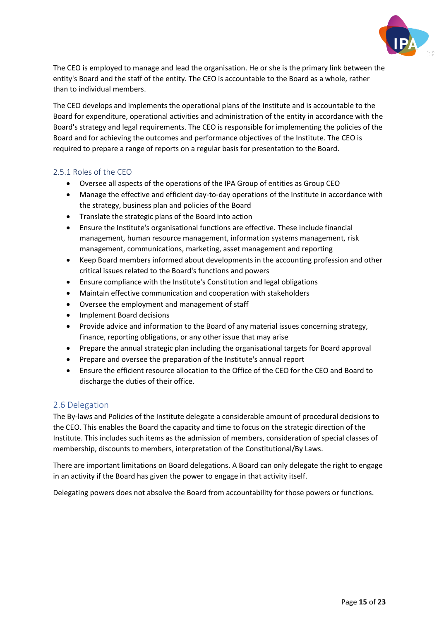

The CEO is employed to manage and lead the organisation. He or she is the primary link between the entity's Board and the staff of the entity. The CEO is accountable to the Board as a whole, rather than to individual members.

The CEO develops and implements the operational plans of the Institute and is accountable to the Board for expenditure, operational activities and administration of the entity in accordance with the Board's strategy and legal requirements. The CEO is responsible for implementing the policies of the Board and for achieving the outcomes and performance objectives of the Institute. The CEO is required to prepare a range of reports on a regular basis for presentation to the Board.

## <span id="page-16-0"></span>2.5.1 Roles of the CEO

- Oversee all aspects of the operations of the IPA Group of entities as Group CEO
- Manage the effective and efficient day-to-day operations of the Institute in accordance with the strategy, business plan and policies of the Board
- Translate the strategic plans of the Board into action
- Ensure the Institute's organisational functions are effective. These include financial management, human resource management, information systems management, risk management, communications, marketing, asset management and reporting
- Keep Board members informed about developments in the accounting profession and other critical issues related to the Board's functions and powers
- Ensure compliance with the Institute's Constitution and legal obligations
- Maintain effective communication and cooperation with stakeholders
- Oversee the employment and management of staff
- Implement Board decisions
- Provide advice and information to the Board of any material issues concerning strategy, finance, reporting obligations, or any other issue that may arise
- Prepare the annual strategic plan including the organisational targets for Board approval
- Prepare and oversee the preparation of the Institute's annual report
- Ensure the efficient resource allocation to the Office of the CEO for the CEO and Board to discharge the duties of their office.

#### <span id="page-16-1"></span>2.6 Delegation

The By-laws and Policies of the Institute delegate a considerable amount of procedural decisions to the CEO. This enables the Board the capacity and time to focus on the strategic direction of the Institute. This includes such items as the admission of members, consideration of special classes of membership, discounts to members, interpretation of the Constitutional/By Laws.

There are important limitations on Board delegations. A Board can only delegate the right to engage in an activity if the Board has given the power to engage in that activity itself.

Delegating powers does not absolve the Board from accountability for those powers or functions.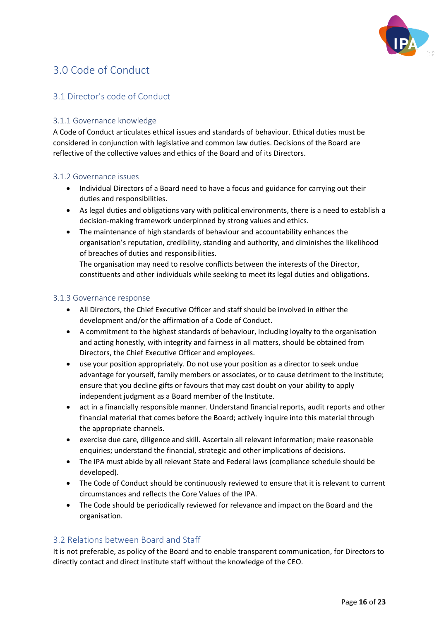

# <span id="page-17-0"></span>3.0 Code of Conduct

# <span id="page-17-1"></span>3.1 Director's code of Conduct

#### <span id="page-17-2"></span>3.1.1 Governance knowledge

A Code of Conduct articulates ethical issues and standards of behaviour. Ethical duties must be considered in conjunction with legislative and common law duties. Decisions of the Board are reflective of the collective values and ethics of the Board and of its Directors.

#### <span id="page-17-3"></span>3.1.2 Governance issues

- Individual Directors of a Board need to have a focus and guidance for carrying out their duties and responsibilities.
- As legal duties and obligations vary with political environments, there is a need to establish a decision-making framework underpinned by strong values and ethics.
- The maintenance of high standards of behaviour and accountability enhances the organisation's reputation, credibility, standing and authority, and diminishes the likelihood of breaches of duties and responsibilities.

The organisation may need to resolve conflicts between the interests of the Director, constituents and other individuals while seeking to meet its legal duties and obligations.

#### <span id="page-17-4"></span>3.1.3 Governance response

- All Directors, the Chief Executive Officer and staff should be involved in either the development and/or the affirmation of a Code of Conduct.
- A commitment to the highest standards of behaviour, including loyalty to the organisation and acting honestly, with integrity and fairness in all matters, should be obtained from Directors, the Chief Executive Officer and employees.
- use your position appropriately. Do not use your position as a director to seek undue advantage for yourself, family members or associates, or to cause detriment to the Institute; ensure that you decline gifts or favours that may cast doubt on your ability to apply independent judgment as a Board member of the Institute.
- act in a financially responsible manner. Understand financial reports, audit reports and other financial material that comes before the Board; actively inquire into this material through the appropriate channels.
- exercise due care, diligence and skill. Ascertain all relevant information; make reasonable enquiries; understand the financial, strategic and other implications of decisions.
- The IPA must abide by all relevant State and Federal laws (compliance schedule should be developed).
- The Code of Conduct should be continuously reviewed to ensure that it is relevant to current circumstances and reflects the Core Values of the IPA.
- The Code should be periodically reviewed for relevance and impact on the Board and the organisation.

# <span id="page-17-5"></span>3.2 Relations between Board and Staff

It is not preferable, as policy of the Board and to enable transparent communication, for Directors to directly contact and direct Institute staff without the knowledge of the CEO.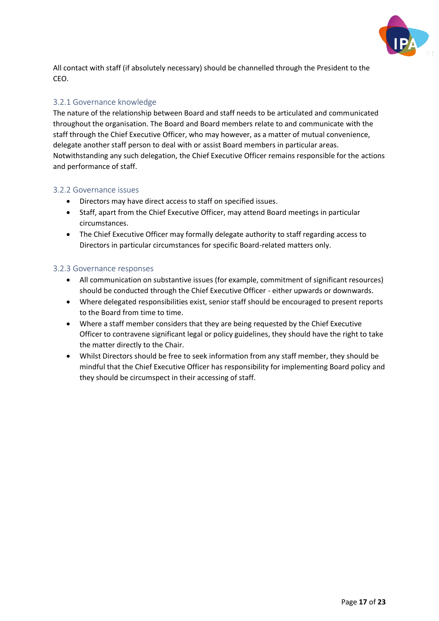

All contact with staff (if absolutely necessary) should be channelled through the President to the CEO.

#### <span id="page-18-0"></span>3.2.1 Governance knowledge

The nature of the relationship between Board and staff needs to be articulated and communicated throughout the organisation. The Board and Board members relate to and communicate with the staff through the Chief Executive Officer, who may however, as a matter of mutual convenience, delegate another staff person to deal with or assist Board members in particular areas. Notwithstanding any such delegation, the Chief Executive Officer remains responsible for the actions and performance of staff.

#### <span id="page-18-1"></span>3.2.2 Governance issues

- Directors may have direct access to staff on specified issues.
- Staff, apart from the Chief Executive Officer, may attend Board meetings in particular circumstances.
- The Chief Executive Officer may formally delegate authority to staff regarding access to Directors in particular circumstances for specific Board-related matters only.

## <span id="page-18-2"></span>3.2.3 Governance responses

- All communication on substantive issues (for example, commitment of significant resources) should be conducted through the Chief Executive Officer - either upwards or downwards.
- Where delegated responsibilities exist, senior staff should be encouraged to present reports to the Board from time to time.
- Where a staff member considers that they are being requested by the Chief Executive Officer to contravene significant legal or policy guidelines, they should have the right to take the matter directly to the Chair.
- Whilst Directors should be free to seek information from any staff member, they should be mindful that the Chief Executive Officer has responsibility for implementing Board policy and they should be circumspect in their accessing of staff.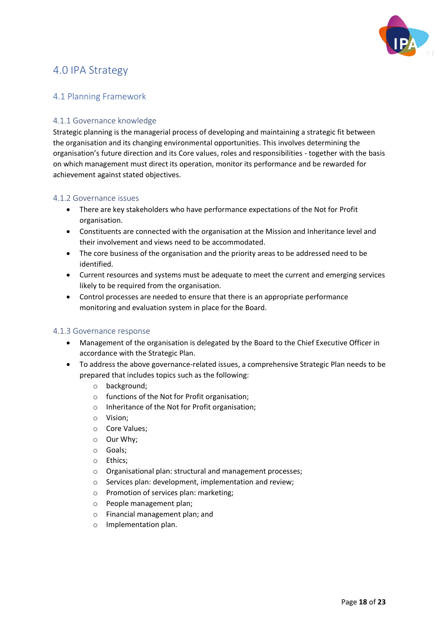

# <span id="page-19-0"></span>4.0 IPA Strategy

# <span id="page-19-1"></span>4.1 Planning Framework

#### <span id="page-19-2"></span>4.1.1 Governance knowledge

Strategic planning is the managerial process of developing and maintaining a strategic fit between the organisation and its changing environmental opportunities. This involves determining the organisation's future direction and its Core values, roles and responsibilities - together with the basis on which management must direct its operation, monitor its performance and be rewarded for achievement against stated objectives.

#### <span id="page-19-3"></span>4.1.2 Governance issues

- There are key stakeholders who have performance expectations of the Not for Profit organisation.
- Constituents are connected with the organisation at the Mission and Inheritance level and their involvement and views need to be accommodated.
- The core business of the organisation and the priority areas to be addressed need to be identified.
- Current resources and systems must be adequate to meet the current and emerging services likely to be required from the organisation.
- Control processes are needed to ensure that there is an appropriate performance monitoring and evaluation system in place for the Board.

#### <span id="page-19-4"></span>4.1.3 Governance response

- Management of the organisation is delegated by the Board to the Chief Executive Officer in accordance with the Strategic Plan.
- To address the above governance-related issues, a comprehensive Strategic Plan needs to be prepared that includes topics such as the following:
	- o background;
	- o functions of the Not for Profit organisation;
	- o Inheritance of the Not for Profit organisation;
	- o Vision;
	- o Core Values;
	- o Our Why;
	- o Goals;
	- o Ethics;
	- o Organisational plan: structural and management processes;
	- o Services plan: development, implementation and review;
	- o Promotion of services plan: marketing;
	- o People management plan;
	- o Financial management plan; and
	- o Implementation plan.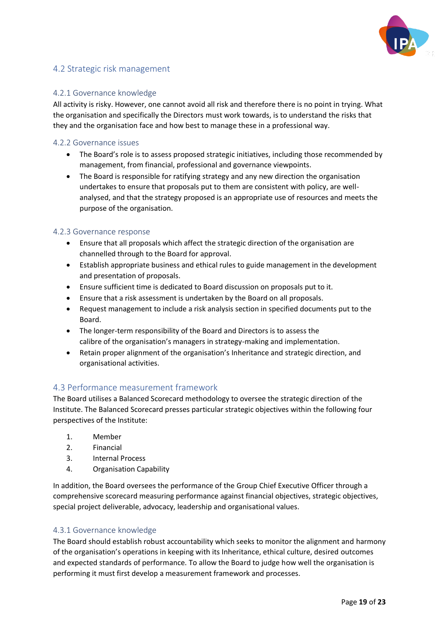

# <span id="page-20-0"></span>4.2 Strategic risk management

#### <span id="page-20-1"></span>4.2.1 Governance knowledge

All activity is risky. However, one cannot avoid all risk and therefore there is no point in trying. What the organisation and specifically the Directors must work towards, is to understand the risks that they and the organisation face and how best to manage these in a professional way.

#### <span id="page-20-2"></span>4.2.2 Governance issues

- The Board's role is to assess proposed strategic initiatives, including those recommended by management, from financial, professional and governance viewpoints.
- The Board is responsible for ratifying strategy and any new direction the organisation undertakes to ensure that proposals put to them are consistent with policy, are wellanalysed, and that the strategy proposed is an appropriate use of resources and meets the purpose of the organisation.

#### <span id="page-20-3"></span>4.2.3 Governance response

- Ensure that all proposals which affect the strategic direction of the organisation are channelled through to the Board for approval.
- Establish appropriate business and ethical rules to guide management in the development and presentation of proposals.
- Ensure sufficient time is dedicated to Board discussion on proposals put to it.
- Ensure that a risk assessment is undertaken by the Board on all proposals.
- Request management to include a risk analysis section in specified documents put to the Board.
- The longer-term responsibility of the Board and Directors is to assess the calibre of the organisation's managers in strategy-making and implementation.
- Retain proper alignment of the organisation's Inheritance and strategic direction, and organisational activities.

#### <span id="page-20-4"></span>4.3 Performance measurement framework

The Board utilises a Balanced Scorecard methodology to oversee the strategic direction of the Institute. The Balanced Scorecard presses particular strategic objectives within the following four perspectives of the Institute:

- 1. Member
- 2. Financial
- 3. Internal Process
- 4. Organisation Capability

In addition, the Board oversees the performance of the Group Chief Executive Officer through a comprehensive scorecard measuring performance against financial objectives, strategic objectives, special project deliverable, advocacy, leadership and organisational values.

#### <span id="page-20-5"></span>4.3.1 Governance knowledge

The Board should establish robust accountability which seeks to monitor the alignment and harmony of the organisation's operations in keeping with its Inheritance, ethical culture, desired outcomes and expected standards of performance. To allow the Board to judge how well the organisation is performing it must first develop a measurement framework and processes.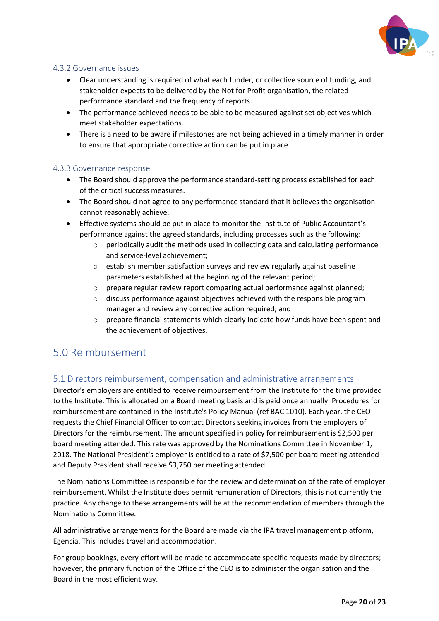

#### <span id="page-21-0"></span>4.3.2 Governance issues

- Clear understanding is required of what each funder, or collective source of funding, and stakeholder expects to be delivered by the Not for Profit organisation, the related performance standard and the frequency of reports.
- The performance achieved needs to be able to be measured against set objectives which meet stakeholder expectations.
- There is a need to be aware if milestones are not being achieved in a timely manner in order to ensure that appropriate corrective action can be put in place.

#### <span id="page-21-1"></span>4.3.3 Governance response

- The Board should approve the performance standard-setting process established for each of the critical success measures.
- The Board should not agree to any performance standard that it believes the organisation cannot reasonably achieve.
- Effective systems should be put in place to monitor the Institute of Public Accountant's performance against the agreed standards, including processes such as the following:
	- $\circ$  periodically audit the methods used in collecting data and calculating performance and service-level achievement;
	- o establish member satisfaction surveys and review regularly against baseline parameters established at the beginning of the relevant period;
	- o prepare regular review report comparing actual performance against planned;
	- o discuss performance against objectives achieved with the responsible program manager and review any corrective action required; and
	- o prepare financial statements which clearly indicate how funds have been spent and the achievement of objectives.

# <span id="page-21-2"></span>5.0 Reimbursement

# <span id="page-21-3"></span>5.1 Directors reimbursement, compensation and administrative arrangements

Director's employers are entitled to receive reimbursement from the Institute for the time provided to the Institute. This is allocated on a Board meeting basis and is paid once annually. Procedures for reimbursement are contained in the Institute's Policy Manual (ref BAC 1010). Each year, the CEO requests the Chief Financial Officer to contact Directors seeking invoices from the employers of Directors for the reimbursement. The amount specified in policy for reimbursement is \$2,500 per board meeting attended. This rate was approved by the Nominations Committee in November 1, 2018. The National President's employer is entitled to a rate of \$7,500 per board meeting attended and Deputy President shall receive \$3,750 per meeting attended.

The Nominations Committee is responsible for the review and determination of the rate of employer reimbursement. Whilst the Institute does permit remuneration of Directors, this is not currently the practice. Any change to these arrangements will be at the recommendation of members through the Nominations Committee.

All administrative arrangements for the Board are made via the IPA travel management platform, Egencia. This includes travel and accommodation.

For group bookings, every effort will be made to accommodate specific requests made by directors; however, the primary function of the Office of the CEO is to administer the organisation and the Board in the most efficient way.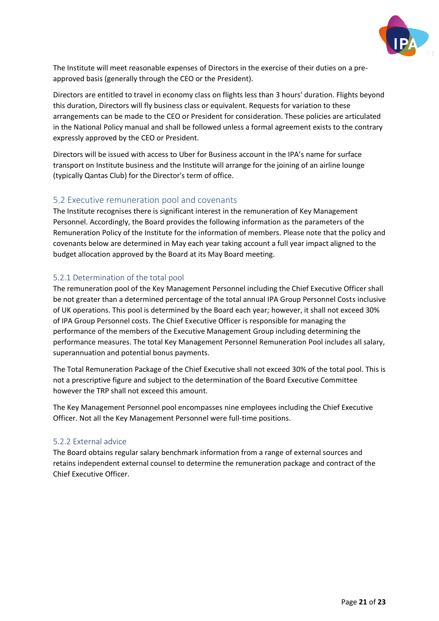

The Institute will meet reasonable expenses of Directors in the exercise of their duties on a preapproved basis (generally through the CEO or the President).

Directors are entitled to travel in economy class on flights less than 3 hours' duration. Flights beyond this duration, Directors will fly business class or equivalent. Requests for variation to these arrangements can be made to the CEO or President for consideration. These policies are articulated in the National Policy manual and shall be followed unless a formal agreement exists to the contrary expressly approved by the CEO or President.

Directors will be issued with access to Uber for Business account in the IPA's name for surface transport on Institute business and the Institute will arrange for the joining of an airline lounge (typically Qantas Club) for the Director's term of office.

# <span id="page-22-0"></span>5.2 Executive remuneration pool and covenants

The Institute recognises there is significant interest in the remuneration of Key Management Personnel. Accordingly, the Board provides the following information as the parameters of the Remuneration Policy of the Institute for the information of members. Please note that the policy and covenants below are determined in May each year taking account a full year impact aligned to the budget allocation approved by the Board at its May Board meeting.

# <span id="page-22-1"></span>5.2.1 Determination of the total pool

The remuneration pool of the Key Management Personnel including the Chief Executive Officer shall be not greater than a determined percentage of the total annual IPA Group Personnel Costs inclusive of UK operations. This pool is determined by the Board each year; however, it shall not exceed 30% of IPA Group Personnel costs. The Chief Executive Officer is responsible for managing the performance of the members of the Executive Management Group including determining the performance measures. The total Key Management Personnel Remuneration Pool includes all salary, superannuation and potential bonus payments.

The Total Remuneration Package of the Chief Executive shall not exceed 30% of the total pool. This is not a prescriptive figure and subject to the determination of the Board Executive Committee however the TRP shall not exceed this amount.

The Key Management Personnel pool encompasses nine employees including the Chief Executive Officer. Not all the Key Management Personnel were full-time positions.

#### <span id="page-22-2"></span>5.2.2 External advice

The Board obtains regular salary benchmark information from a range of external sources and retains independent external counsel to determine the remuneration package and contract of the Chief Executive Officer.